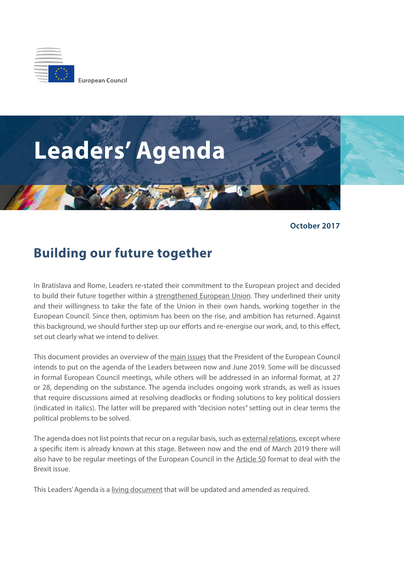



**October 2017**

## **Building our future together**

In Bratislava and Rome, Leaders re-stated their commitment to the European project and decided to build their future together within a strengthened European Union. They underlined their unity and their willingness to take the fate of the Union in their own hands, working together in the European Council. Since then, optimism has been on the rise, and ambition has returned. Against this background, we should further step up our efforts and re-energise our work, and, to this effect, set out clearly what we intend to deliver.

This document provides an overview of the main issues that the President of the European Council intends to put on the agenda of the Leaders between now and June 2019. Some will be discussed in formal European Council meetings, while others will be addressed in an informal format, at 27 or 28, depending on the substance. The agenda includes ongoing work strands, as well as issues that require discussions aimed at resolving deadlocks or finding solutions to key political dossiers (indicated in italics). The latter will be prepared with "decision notes" setting out in clear terms the political problems to be solved.

The agenda does not list points that recur on a regular basis, such as external relations, except where a specific item is already known at this stage. Between now and the end of March 2019 there will also have to be regular meetings of the European Council in the Article 50 format to deal with the Brexit issue.

This Leaders' Agenda is a living document that will be updated and amended as required.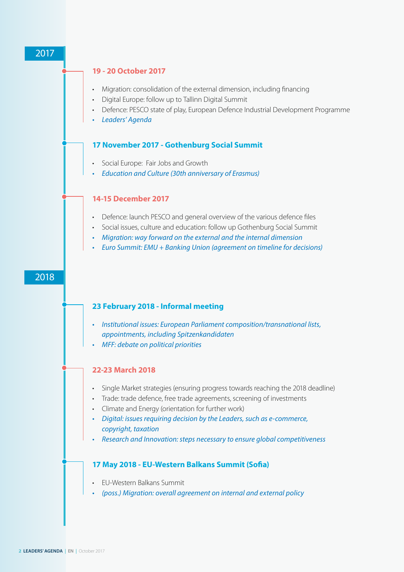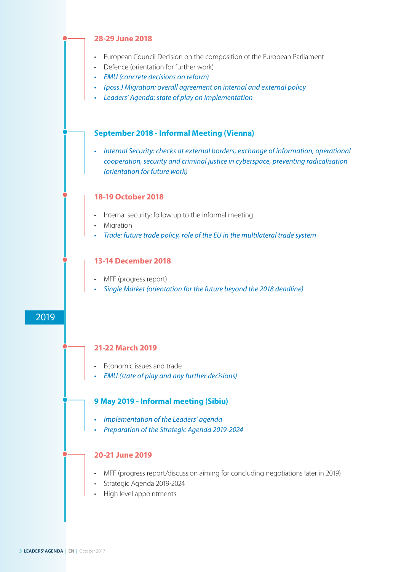